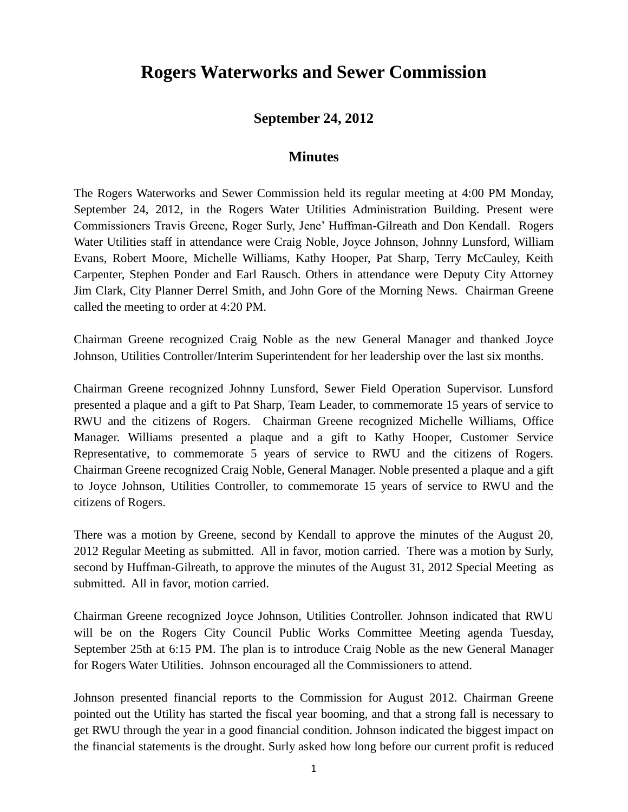## **Rogers Waterworks and Sewer Commission**

## **September 24, 2012**

## **Minutes**

The Rogers Waterworks and Sewer Commission held its regular meeting at 4:00 PM Monday, September 24, 2012, in the Rogers Water Utilities Administration Building. Present were Commissioners Travis Greene, Roger Surly, Jene' Huffman-Gilreath and Don Kendall. Rogers Water Utilities staff in attendance were Craig Noble, Joyce Johnson, Johnny Lunsford, William Evans, Robert Moore, Michelle Williams, Kathy Hooper, Pat Sharp, Terry McCauley, Keith Carpenter, Stephen Ponder and Earl Rausch. Others in attendance were Deputy City Attorney Jim Clark, City Planner Derrel Smith, and John Gore of the Morning News. Chairman Greene called the meeting to order at 4:20 PM.

Chairman Greene recognized Craig Noble as the new General Manager and thanked Joyce Johnson, Utilities Controller/Interim Superintendent for her leadership over the last six months.

Chairman Greene recognized Johnny Lunsford, Sewer Field Operation Supervisor. Lunsford presented a plaque and a gift to Pat Sharp, Team Leader, to commemorate 15 years of service to RWU and the citizens of Rogers. Chairman Greene recognized Michelle Williams, Office Manager. Williams presented a plaque and a gift to Kathy Hooper, Customer Service Representative, to commemorate 5 years of service to RWU and the citizens of Rogers. Chairman Greene recognized Craig Noble, General Manager. Noble presented a plaque and a gift to Joyce Johnson, Utilities Controller, to commemorate 15 years of service to RWU and the citizens of Rogers.

There was a motion by Greene, second by Kendall to approve the minutes of the August 20, 2012 Regular Meeting as submitted. All in favor, motion carried. There was a motion by Surly, second by Huffman-Gilreath, to approve the minutes of the August 31, 2012 Special Meeting as submitted. All in favor, motion carried.

Chairman Greene recognized Joyce Johnson, Utilities Controller. Johnson indicated that RWU will be on the Rogers City Council Public Works Committee Meeting agenda Tuesday, September 25th at 6:15 PM. The plan is to introduce Craig Noble as the new General Manager for Rogers Water Utilities. Johnson encouraged all the Commissioners to attend.

Johnson presented financial reports to the Commission for August 2012. Chairman Greene pointed out the Utility has started the fiscal year booming, and that a strong fall is necessary to get RWU through the year in a good financial condition. Johnson indicated the biggest impact on the financial statements is the drought. Surly asked how long before our current profit is reduced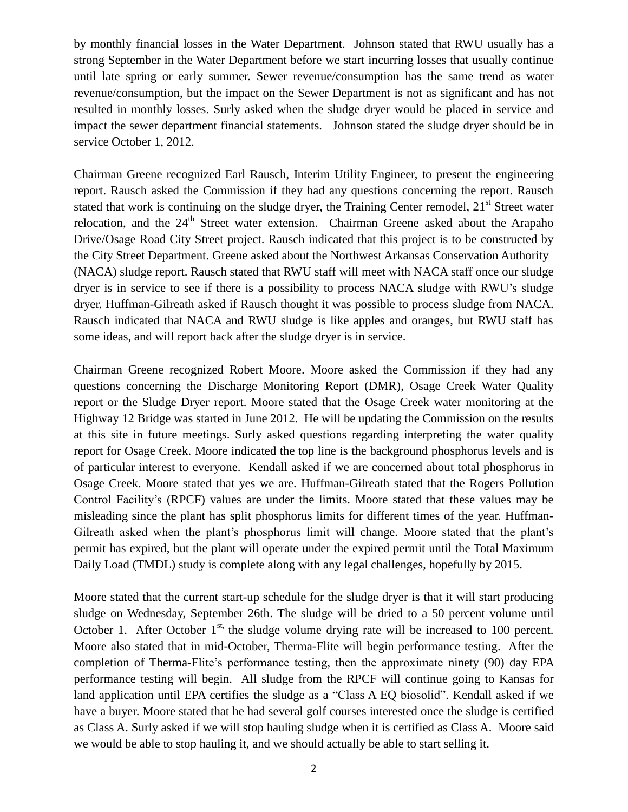by monthly financial losses in the Water Department. Johnson stated that RWU usually has a strong September in the Water Department before we start incurring losses that usually continue until late spring or early summer. Sewer revenue/consumption has the same trend as water revenue/consumption, but the impact on the Sewer Department is not as significant and has not resulted in monthly losses. Surly asked when the sludge dryer would be placed in service and impact the sewer department financial statements. Johnson stated the sludge dryer should be in service October 1, 2012.

Chairman Greene recognized Earl Rausch, Interim Utility Engineer, to present the engineering report. Rausch asked the Commission if they had any questions concerning the report. Rausch stated that work is continuing on the sludge dryer, the Training Center remodel,  $21<sup>st</sup>$  Street water relocation, and the 24<sup>th</sup> Street water extension. Chairman Greene asked about the Arapaho Drive/Osage Road City Street project. Rausch indicated that this project is to be constructed by the City Street Department. Greene asked about the Northwest Arkansas Conservation Authority (NACA) sludge report. Rausch stated that RWU staff will meet with NACA staff once our sludge dryer is in service to see if there is a possibility to process NACA sludge with RWU's sludge dryer. Huffman-Gilreath asked if Rausch thought it was possible to process sludge from NACA. Rausch indicated that NACA and RWU sludge is like apples and oranges, but RWU staff has some ideas, and will report back after the sludge dryer is in service.

Chairman Greene recognized Robert Moore. Moore asked the Commission if they had any questions concerning the Discharge Monitoring Report (DMR), Osage Creek Water Quality report or the Sludge Dryer report. Moore stated that the Osage Creek water monitoring at the Highway 12 Bridge was started in June 2012. He will be updating the Commission on the results at this site in future meetings. Surly asked questions regarding interpreting the water quality report for Osage Creek. Moore indicated the top line is the background phosphorus levels and is of particular interest to everyone. Kendall asked if we are concerned about total phosphorus in Osage Creek. Moore stated that yes we are. Huffman-Gilreath stated that the Rogers Pollution Control Facility's (RPCF) values are under the limits. Moore stated that these values may be misleading since the plant has split phosphorus limits for different times of the year. Huffman-Gilreath asked when the plant's phosphorus limit will change. Moore stated that the plant's permit has expired, but the plant will operate under the expired permit until the Total Maximum Daily Load (TMDL) study is complete along with any legal challenges, hopefully by 2015.

Moore stated that the current start-up schedule for the sludge dryer is that it will start producing sludge on Wednesday, September 26th. The sludge will be dried to a 50 percent volume until October 1. After October  $1^{st}$ , the sludge volume drying rate will be increased to 100 percent. Moore also stated that in mid-October, Therma-Flite will begin performance testing. After the completion of Therma-Flite's performance testing, then the approximate ninety (90) day EPA performance testing will begin. All sludge from the RPCF will continue going to Kansas for land application until EPA certifies the sludge as a "Class A EQ biosolid". Kendall asked if we have a buyer. Moore stated that he had several golf courses interested once the sludge is certified as Class A. Surly asked if we will stop hauling sludge when it is certified as Class A. Moore said we would be able to stop hauling it, and we should actually be able to start selling it.